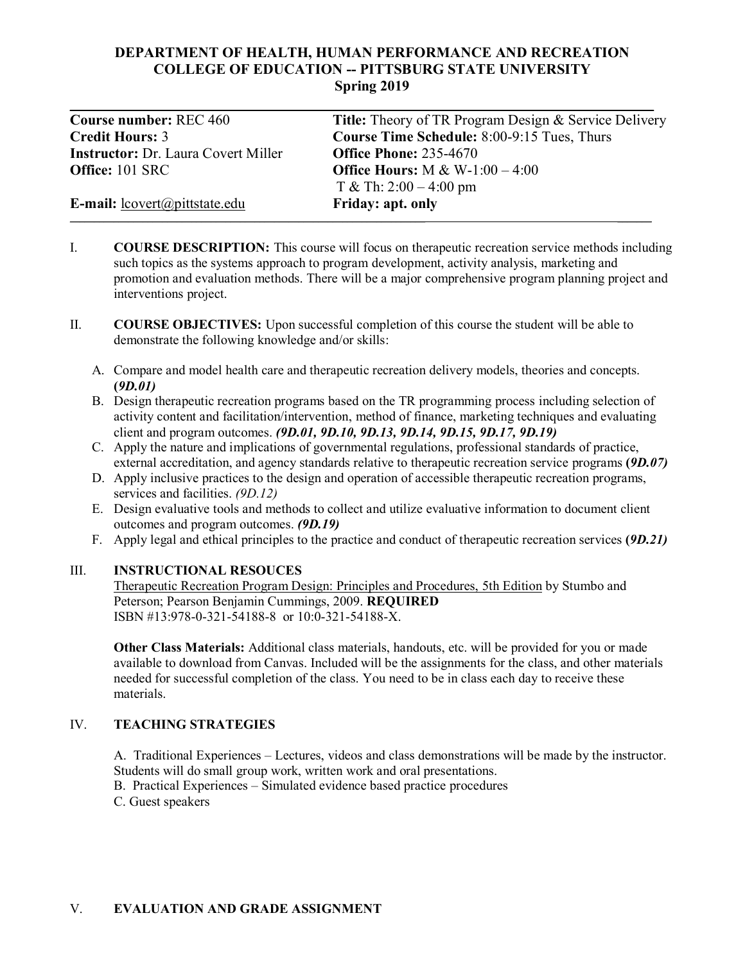# **DEPARTMENT OF HEALTH, HUMAN PERFORMANCE AND RECREATION COLLEGE OF EDUCATION -- PITTSBURG STATE UNIVERSITY Spring 2019**

| <b>Course number: REC 460</b>              | <b>Title:</b> Theory of TR Program Design & Service Delivery |
|--------------------------------------------|--------------------------------------------------------------|
| <b>Credit Hours: 3</b>                     | <b>Course Time Schedule: 8:00-9:15 Tues, Thurs</b>           |
| <b>Instructor:</b> Dr. Laura Covert Miller | <b>Office Phone: 235-4670</b>                                |
| <b>Office:</b> 101 SRC                     | <b>Office Hours:</b> M & W-1:00 – 4:00                       |
|                                            | T & Th: $2:00 - 4:00$ pm                                     |
| E-mail: lcovert@pittstate.edu              | Friday: apt. only                                            |
|                                            |                                                              |

- I. **COURSE DESCRIPTION:** This course will focus on therapeutic recreation service methods including such topics as the systems approach to program development, activity analysis, marketing and promotion and evaluation methods. There will be a major comprehensive program planning project and interventions project.
- II. **COURSE OBJECTIVES:** Upon successful completion of this course the student will be able to demonstrate the following knowledge and/or skills:
	- A. Compare and model health care and therapeutic recreation delivery models, theories and concepts. **(***9D.01)*
	- B. Design therapeutic recreation programs based on the TR programming process including selection of activity content and facilitation/intervention, method of finance, marketing techniques and evaluating client and program outcomes. *(9D.01, 9D.10, 9D.13, 9D.14, 9D.15, 9D.17, 9D.19)*
	- C. Apply the nature and implications of governmental regulations, professional standards of practice, external accreditation, and agency standards relative to therapeutic recreation service programs **(***9D.07)*
	- D. Apply inclusive practices to the design and operation of accessible therapeutic recreation programs, services and facilities. *(9D.12)*
	- E. Design evaluative tools and methods to collect and utilize evaluative information to document client outcomes and program outcomes. *(9D.19)*
	- F. Apply legal and ethical principles to the practice and conduct of therapeutic recreation services **(***9D.21)*

# III. **INSTRUCTIONAL RESOUCES**

Therapeutic Recreation Program Design: Principles and Procedures, 5th Edition by Stumbo and Peterson; Pearson Benjamin Cummings, 2009. **REQUIRED** ISBN #13:978-0-321-54188-8 or 10:0-321-54188-X.

**Other Class Materials:** Additional class materials, handouts, etc. will be provided for you or made available to download from Canvas. Included will be the assignments for the class, and other materials needed for successful completion of the class. You need to be in class each day to receive these materials.

# IV. **TEACHING STRATEGIES**

A. Traditional Experiences – Lectures, videos and class demonstrations will be made by the instructor. Students will do small group work, written work and oral presentations.

B. Practical Experiences – Simulated evidence based practice procedures C. Guest speakers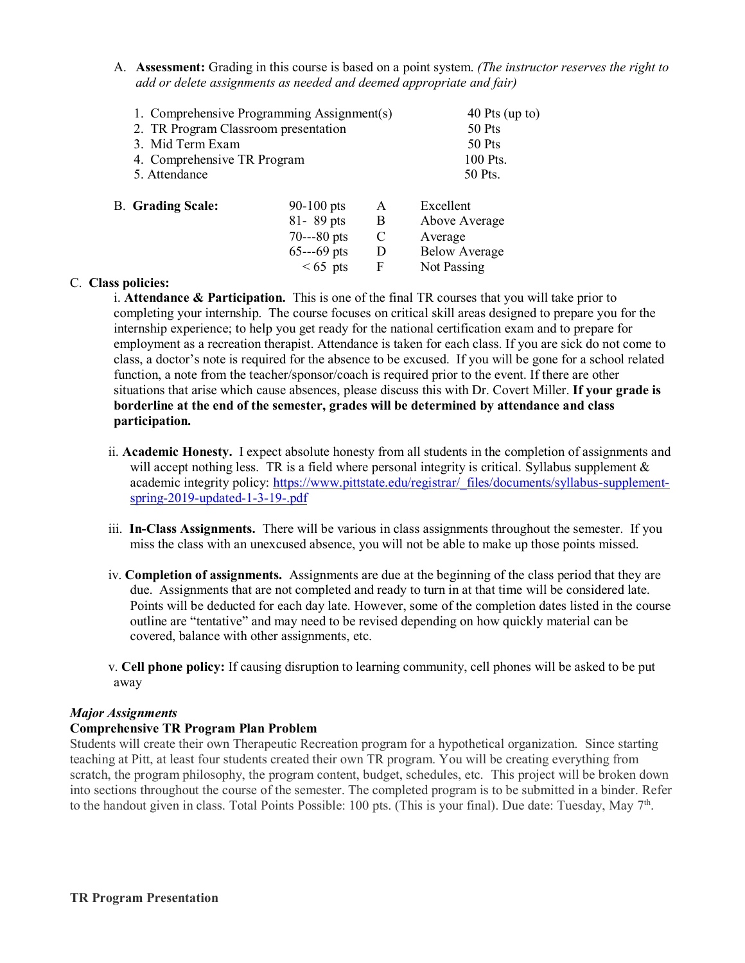A. **Assessment:** Grading in this course is based on a point system. *(The instructor reserves the right to add or delete assignments as needed and deemed appropriate and fair)*

| 1. Comprehensive Programming Assignment(s) |              |   | 40 Pts (up to)       |
|--------------------------------------------|--------------|---|----------------------|
| 2. TR Program Classroom presentation       |              |   | 50 Pts               |
| 3. Mid Term Exam                           |              |   | 50 Pts               |
| 4. Comprehensive TR Program                |              |   | 100 Pts.             |
| 5. Attendance                              |              |   | 50 Pts.              |
| <b>B.</b> Grading Scale:                   | $90-100$ pts | A | Excellent            |
|                                            | 81-89 pts    | B | Above Average        |
|                                            | $70--80$ pts | C | Average              |
|                                            | $65--69$ pts | D | <b>Below Average</b> |
|                                            | $< 65$ pts   | F | Not Passing          |
| a -- aliainn                               |              |   |                      |

### C. **Class policies:**

i. **Attendance & Participation.** This is one of the final TR courses that you will take prior to completing your internship. The course focuses on critical skill areas designed to prepare you for the internship experience; to help you get ready for the national certification exam and to prepare for employment as a recreation therapist. Attendance is taken for each class. If you are sick do not come to class, a doctor's note is required for the absence to be excused. If you will be gone for a school related function, a note from the teacher/sponsor/coach is required prior to the event. If there are other situations that arise which cause absences, please discuss this with Dr. Covert Miller. **If your grade is borderline at the end of the semester, grades will be determined by attendance and class participation.**

- ii. **Academic Honesty.** I expect absolute honesty from all students in the completion of assignments and will accept nothing less. TR is a field where personal integrity is critical. Syllabus supplement  $\&$ academic integrity policy: [https://www.pittstate.edu/registrar/\\_files/documents/syllabus-supplement](https://www.pittstate.edu/registrar/_files/documents/syllabus-supplement-spring-2019-updated-1-3-19-.pdf)[spring-2019-updated-1-3-19-.pdf](https://www.pittstate.edu/registrar/_files/documents/syllabus-supplement-spring-2019-updated-1-3-19-.pdf)
- iii. **In-Class Assignments.** There will be various in class assignments throughout the semester. If you miss the class with an unexcused absence, you will not be able to make up those points missed.
- iv. **Completion of assignments.** Assignments are due at the beginning of the class period that they are due. Assignments that are not completed and ready to turn in at that time will be considered late. Points will be deducted for each day late. However, some of the completion dates listed in the course outline are "tentative" and may need to be revised depending on how quickly material can be covered, balance with other assignments, etc.
- v. **Cell phone policy:** If causing disruption to learning community, cell phones will be asked to be put away

#### *Major Assignments*

### **Comprehensive TR Program Plan Problem**

Students will create their own Therapeutic Recreation program for a hypothetical organization. Since starting teaching at Pitt, at least four students created their own TR program. You will be creating everything from scratch, the program philosophy, the program content, budget, schedules, etc. This project will be broken down into sections throughout the course of the semester. The completed program is to be submitted in a binder. Refer to the handout given in class. Total Points Possible: 100 pts. (This is your final). Due date: Tuesday, May 7<sup>th</sup>.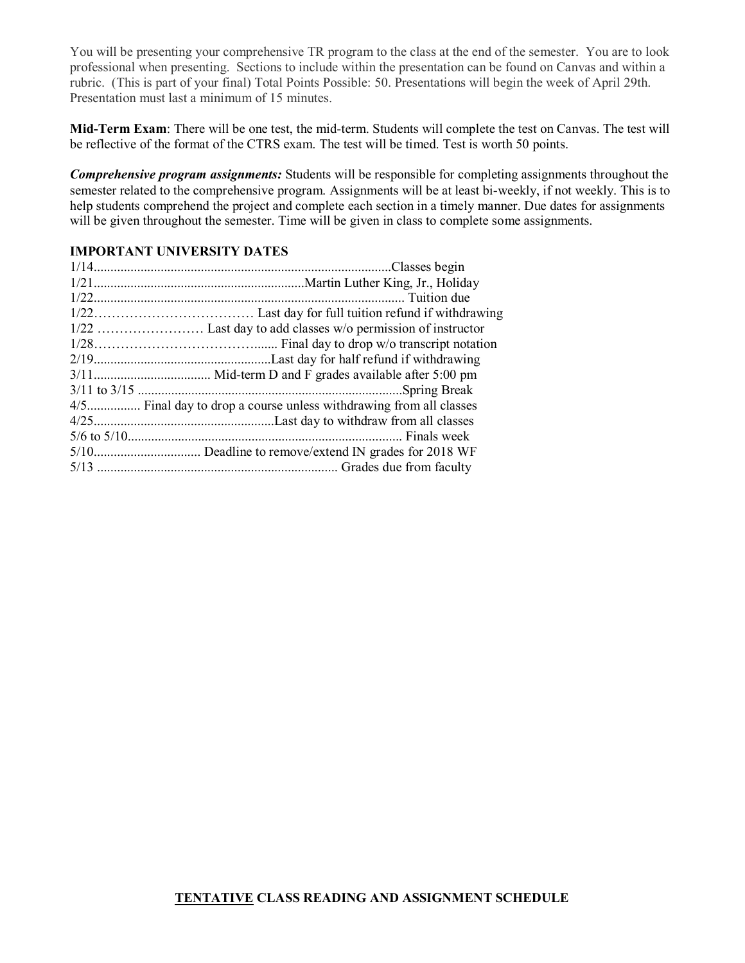You will be presenting your comprehensive TR program to the class at the end of the semester. You are to look professional when presenting. Sections to include within the presentation can be found on Canvas and within a rubric. (This is part of your final) Total Points Possible: 50. Presentations will begin the week of April 29th. Presentation must last a minimum of 15 minutes.

**Mid-Term Exam**: There will be one test, the mid-term. Students will complete the test on Canvas. The test will be reflective of the format of the CTRS exam. The test will be timed. Test is worth 50 points.

*Comprehensive program assignments:* Students will be responsible for completing assignments throughout the semester related to the comprehensive program. Assignments will be at least bi-weekly, if not weekly. This is to help students comprehend the project and complete each section in a timely manner. Due dates for assignments will be given throughout the semester. Time will be given in class to complete some assignments.

### **IMPORTANT UNIVERSITY DATES**

| 4/5 Final day to drop a course unless withdrawing from all classes |
|--------------------------------------------------------------------|
|                                                                    |
|                                                                    |
|                                                                    |
|                                                                    |